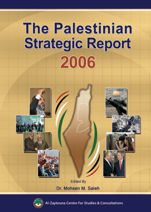# **The Palestinian Strategic Report** 2006





Zaytouna Centre For Studies & Consultations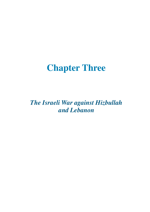## **Chapter Three**

*The Israeli War against Hizbullah and Lebanon*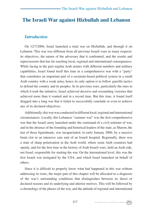#### **The Israeli War against Hizbullah and Lebanon**

#### *Introduction*

On 12/7/2006, Israel launched a total war on Hizbullah, and through it on Lebanon. This war was different from all previous Israeli wars in many respects: its objectives, the nature of the adversary that it confronted, and the results and repercussions that has far reaching local, regional and international consequences. While facing in the past regular Arab armies with different numbers and military capabilities, Israel found itself this time in a comprehensive war with a "party" that constitutes an important part of a sectarian-based political system in a small Arab country with a weak army, hence its only option is to follow guerilla tactics to defend the country and its peoples. In its previous wars, particularly the ones in which it took the initiative, Israel achieved decisive and resounding victories that achieved more than it wanted and in a record time. But this time, it found itself dragged into a long war that it failed to successfully conclude or even to achieve any of its declared objectives.

Additionally, this war was conducted in different local, regional and international circumstances. Locally, this Lebanese "summer war" was the first comprehensive war that the Israeli army launched under the command of a civil minister of war, and in the absence of the founding and historical leaders of the state, as Sharon, the last of those figureheads, was incapacitated, in early January 2006, by a massive brain clot in an intensive care unit of an Israeli hospital. Regionally, there was a state of sharp polarization in the Arab world, where some Arab countries had openly, and for the first time in the history of Arab-Israeli wars, held an Arab side, not Israel, responsible for starting the war. On the international level, this was the first Israeli war instigated by the USA, and which Israel launched on behalf of others.

Since it is difficult to properly know what had happened in this war without addressing its roots, the major part of this chapter will be allocated to a diagnosis of the war's surrounding conditions that distinguishes between its direct or declared reasons and its underlying and ulterior motives. This will be followed by a chronology of the phases of the war, and the attitude of regional and international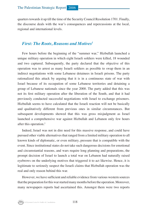quarters towards it up till the time of the Security Council Resolution 1701. Finally, the discourse deals with the war's consequences and repercussions at the local, regional and international levels.

#### *First: The Roots, Reasons and Motives<sup>1</sup>*

Few hours before the beginning of the "summer war," Hizbullah launched a unique military operation in which eight Israeli soldiers were killed, 18 wounded and two captured. Subsequently, the party declared that the objective of this operation was to arrest as many Israeli soldiers as possible to swap them in an indirect negotiations with some Lebanese detainees in Israeli prisons. The party rationalized this attack by arguing that it is in a continuous state of war with Israel because of its occupation of some Lebanese territories and detaining a group of Lebanese nationals since the year 2000. The party added that this was not its first military operation after the liberation of the South, and that it had previously conducted successful negotiations with Israel to exchange prisoners. Hizbullah seems to have calculated that the Israeli reaction will not be basically and qualitatively different from previous ones in similar circumstances. But subsequent developments showed that this was gross misjudgment as Israel launched a comprehensive war against Hizbullah and Lebanon only few hours after this operation.2

Indeed, Israel was not in dire need for this massive response, and could have pursued other viable alternatives that ranged from a limited military operation to all known kinds of diplomatic, or even military, pressure that is compatible with the event. Since institutional states do not take such dangerous decisions for emotional and circumstantial reasons, and wars require long planning and preparations, the prompt decision of Israel to launch a total war on Lebanon had naturally raised eyebrows on the underlying motives that triggered it to act likewise. Hence, it is legitimate to seriously suspect the Israeli claims that Hizbullah operation was the real and only reason behind this war.

However, we have sufficient and reliable evidence from various western sources that the preparation for this war started many months before the operation. Moreover, many newspapers reports had ascertained this. Amongst them were two reports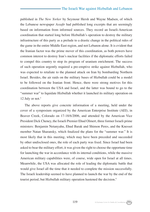published in *The New Yorker* by Seymour Hersh and Wayne Madsen, of which the Lebanese newspaper *Assafir* had published long excerpts that are seemingly based on information from informed sources. They record an Israeli-American coordination that started long before Hizbullah's operation to destroy the military infrastructure of this party as a prelude to a drastic change in the political rules of the game in the entire Middle East region, and not Lebanon alone. It is evident that the Iranian factor was the prime mover of this coordination, as both powers have common interest to destroy Iran's nuclear facilities if the diplomatic efforts failed to compel this country to stop its program of uranium enrichment. The success of such operation urgently required a pre-emptive strike against Hizbullah, who was expected to retaliate to the planned attack on Iran by bombarding Northern Israel. Besides, the air raids on the military bases of Hizbullah could be a model to be followed on the Iranian front. Hence, there were strong motives for this coordination between the USA and Israel, and the latter was bound to go to the "summer war" to liquidate Hizbullah whether it launched its military operation on 12 July or not.<sup>3</sup>

The above reports give concrete information of a meeting, held under the cover of a symposium organized by the American Enterprise Institute (AEI), in Beaver Creek, Colorado on 17-18/6/2006, and attended by the American Vice President Dick Cheney, the Israeli Premier Ehud Olmert, three former Israeli prime ministers: Benjamin Netanyahu, Ehud Barak and Shimon Peres, and the Knesset member Natan Sharansky, which finalized the plans for the "summer war." It is most likely that in this meeting, which may have been preceded and succeeded by other undisclosed ones, the role of each party was fixed. Since Israel had been asked to bear the military effort, it was given the right to choose the opportune time for launching the war in accordance with its internal conditions, while the massive American military capabilities were, of course, wide open for Israel at all times. Meanwhile, the USA was allocated the role of leading the diplomatic battle that would give Israel all the time that it needed to complete the mission successfully. The Israeli leadership seemed to have planned to launch the war by the end of the tourist period, but Hizbullah military operation hastened the decision.4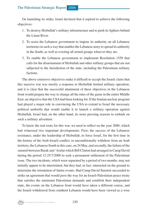On launching its strike, Israel declared that it aspired to achieve the following objectives:

- 1. To destroy Hizbullah's military infrastructure and to push its fighters behind the Litani River.
- 2. To assist the Lebanese government to impose its authority on all Lebanese territories in such a way that enables the Lebanese army to spread its authority in the South, as well as evicting all armed groups whoever they are.
- 3. To enable the Lebanese government to implement Resolution 1559 that calls for the disarmament of Hizbullah and other military groups that are not subjected to the Jurisdiction of the state, including the Palestinian military factions.

The above extensive objectives make it difficult to accept the Israeli claim that this massive war was merely a response to Hizbullah limited military operation, and it is clear that the successful attainment of these objectives in the Lebanese front would prepare the way to change all the rules of the game in the entire Middle East, an objective that the USA had been looking for. If the Iranian nuclear program had played a major role in convincing the USA to extend to Israel the necessary political umbrella that would enable it to launch a military operation against Hizbullah, Israel had, on the other hand, its more pressing reasons to embark on such a military adventure.

To know the real roots for this war, we need to reflect on the year 2000, which had witnessed two important developments: First, the success of the Lebanese resistance, under the leadership of Hizbullah, to force Israel, for the first time in the history of the Arab-Israeli conflict, to unconditionally withdraw from an Arab territory, the Lebanese South in this case, on 24 May, and secondly, the failure of the summit between Barak and 'Arafat which Bill Clinton had arranged in Camp David during the period 12-25/7/2000 to seek a permanent settlement of the Palestinian issue. The two incidents, which were separated by a period of two months, may not initially appear to be interrelated, but they had, in fact, interacted on the ground to determine the orientation of future events. Had Camp David Summit succeeded to strike an agreement that would pave the way for an Israeli-Palestinian peace treaty that satisfies the minimum Palestinian demands and establish their independent state, the events on the Lebanese front would have taken a different course, and the Israeli withdrawal from southern Lebanon would have been viewed as a wise

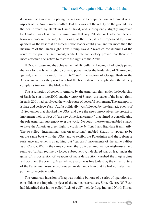decision that aimed at preparing the region for a comprehensive settlement of all aspects of the Arab-Israeli conflict. But this was not the reality on the ground. For the deal offered by Barak in Camp David, and subsequently slightly improved by Clinton, was less than the minimum that any Palestinian leader can accept, however moderate he may be, though, at the time, it was propagated by some quarters as the best that an Israeli Labor leader could give, and far more than the maximum of the Israeli right. Thus, Camp David 2 revealed the dilemma of the route of the political settlement, while Hizbullah victory proved that there is a more effective alternative to restore the rights of the Arabs.

If Oslo impasse and the achievement of Hizbullah in Lebanon had jointly paved the way for the Israeli right to come to power under the leadership of Sharon, and ignited, even militarized, *al-Aqsa Intifadah*, the victory of George Bush in the American race for the presidency had the lion's share in complicating the already complex situation in the Middle East.

The assumption of power in America by the American right under the leadership of Bush the son in late 2000, and the victory of Sharon, the leader of the Israeli right, in early 2001 had paralyzed the whole route of peaceful settlement. The attempts to isolate and besiege Yasir 'Arafat politically was followed by the dramatic events of 11 September that shocked the USA, and gave the neo-conservatives the pretext to implement their project of "the new American century" that aimed at consolidating the sole American supremacy over the world. No doubt, these events enabled Sharon to have the American green light to crush the *Intifadah* and liquidate it militarily. The so-called "international war on terrorism" enabled Sharon to appear to be on the same boat with the USA, and to exhibit the Palestinian and the Lebanese resistance movements as nothing but "terrorist" movements of the same caliber as al-Qa'ida. Within the same context, the USA declared war on Afghanistan and removed Taliban regime by force. Subsequently, it declared war on Iraq under the guise of its possession of weapons of mass destruction, crushed the Iraqi regime and occupied the country. Meanwhile, Sharon was free to destroy the infrastructure of the Palestinian resistance, besiege 'Arafat and claim that he had no Palestinian partner to negotiate with.

The American invasion of Iraq was nothing but one of a series of operations to consolidate the imperial project of the neo-conservatives. Since George W. Bush had identified that his so-called "axis of evil" include Iraq, Iran and North Korea,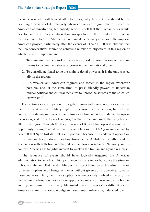the issue was who will be next after Iraq. Logically, North Korea should be the next target because of its relatively advanced nuclear program that disturbed the American administration, but nobody seriously felt that the Korean crisis would develop into a military confrontation irrespective of the extent of the Korean provocation. In fact, the Middle East remained the primary concern of the imperial American project, particularly after the events of 11/9/2001. It was obvious that the neo-conservatives aspired to achieve a number of objectives in this region of which the most important are:

- 1. To maintain direct control of the sources of oil because it is one of the main means to dictate the balance of power in the international order.
- 2. To consolidate Israel to be the main regional power as it is the only trusted ally in the region.
- 3. To weaken anti-American regimes and forces in the region whenever possible, and, at the same time, to press friendly powers to undertake radical political and cultural measures to uproot the sources of the so-called "terrorism."

By the American occupation of Iraq, the Iranian and Syrian regimes were at the hands of the American military might. In the American perception, Iran's threat comes from its inspiration of all anti-American fundamentalist Islamic groups in the region, and from its nuclear program that threatens Israel, the only trusted ally in the region. Though the Iraqi invasion of Kuwait had opened a window of opportunity for improved American-Syrian relations, the USA government had by now felt that Syria lost its strategic importance because of its adamant opposition to the war on Iraq, extreme position towards the Arab-Israeli conflict and its association with both Iran and the Palestinian armed resistance. Naturally, in this context, America has tangible interest to weaken the Iranian and Syrian regimes.

The sequence of events should have logically triggered the American administration to launch a military strike on Iran or Syria or both once the situation in Iraq is stabilized. But the stumbling of its project there forced the administration to revise its plans and change its means without given up its objectives towards these countries. Thus, the military option was temporarily shelved in favor of the nuclear and Lebanese issues as more appropriate means of pressure on the Iranian and Syrian regimes respectively. Meanwhile, since it was rather difficult for the American administration to indulge in these issues unilaterally, it decided to enlist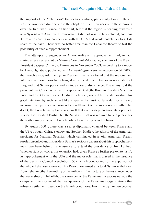the support of the "rebellious" European countries, particularly France. Hence, was the American drive to close the chapter of its differences with these powers over the Iraqi war. France, on her part, felt that the region is heading towards a new Sykes-Picot Agreement from which it did not want to be excluded, and thus it strove towards a rapprochement with the USA that would enable her to get its share of the cake. There was no better area than the Lebanese theatre to test the possibility of such a rapprochement.

The attempts to engender an American-French rapprochement had, in fact, started after a secret visit by Maurice Gourdault-Montagne, an envoy of the French President Jacques Chirac, to Damascus in November 2003. According to a report by David Ignatius, published in *The Washington Post* newspaper on 5/2/2005, the French envoy told the Syrian President Bashar al-Assad that the regional and international conditions had changed after the de facto American occupation of Iraq, and that Syrian policy and attitude should also change. The envoy told the president that Chirac, with the full support of Bush, the Russian President Vladimir Putin and the German leader Gerhard Schroder, wanted him to demonstrate his good intention by such an act like a spectacular visit to Jerusalem or a daring measure that opens a new horizon for a settlement of the Arab-Israeli conflict. No doubt, the French envoy knew very well that such a step tantamounts a political suicide for President Bashar, but the Syrian refusal was required to be a pretext for the forthcoming change in French policy towards Syria and Lebanon.

By August 2004, there was a secret diplomatic channel between France and the USA through Chirac's envoy and Stephen Hadley, the advisor of the American president for National Security, which culminated in a joint American French resolution on Lebanon. President Bashar's serious concern about this rapprochement may have been behind his insistence to extend the presidency of Imil Lahhud. Whether right or wrong, this extension had, given France a further pretext to justify its rapprochement with the USA and the major role that it played in the issuance of the Security Council Resolution 1559, which contributed to the expulsion of the whole Lebanese scenario. This Resolution aimed at a total Syrian withdrawal from Lebanon, the dismantling of the military infrastructure of the resistance under the leadership of Hizbullah, the surrender of the Palestinian weapons outside the camps and the closure of the headquarters of the Palestinian organizations that refuse a settlement based on the Israeli conditions. From the Syrian perspective,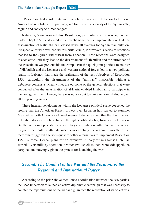this Resolution had a sole outcome, namely, to hand over Lebanon to the joint American-French-Israeli supremacy, and to expose the security of the Syrian state, regime and society to direct dangers.

Naturally, Syria resisted this Resolution, particularly as it was not issued under Chapter VII and entailed no mechanism for its implementation. But the assassination of Rafiq al-Hariri closed down all avenues for Syrian manipulation. Irrespective of who was behind this brutal crime, it provoked a series of reactions that led to the Syrian withdrawal from Lebanon. These reactions were designed to accelerate until they lead to the disarmament of Hizbullah and the surrender of the Palestinian weapon outside the camps. But the quick joint political maneuver of Hizbullah and the Lebanese anti-western national forces led to a new political reality in Lebanon that made the realization of the rest objectives of Resolution 1559, particularly the disarmament of the "militias," impossible without a Lebanese consensus. Meanwhile, the outcome of the general elections that were conducted after the assassination of al-Hariri enabled Hizbullah to participate in the new government. Hence, there was no way but to start a national dialogue over all the pending issues.

These internal developments within the Lebanese political scene deepened the feeling that the American-French project over Lebanon had started to stumble. Meanwhile, both America and Israel seemed to have realized that the disarmament of Hizbullah can never be achieved through a political lobby from within Lebanon. But the increasing probability of a military confrontation with Iran over its nuclear program, particularly after its success in enriching the uranium, was the direct factor that triggered a serious quest for other alternatives to implement Resolution 1559 by force. Hence, plans for an extensive military strike against Hizbullah started. By its military operation in which two Israeli soldiers were kidnapped, the party had unknowingly given the pretext for launching the war.

#### *Second: The Conduct of the War and the Positions of the Regional and International Power*

According to the prior above mentioned coordination between the two parties, the USA undertook to launch an active diplomatic campaign that was necessary to counter the repercussions of the war and guarantee the realization of its objectives.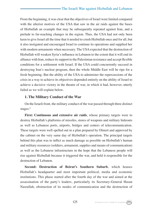From the beginning, it was clear that the objectives of Israel were limited compared with the ulterior motives of the USA that saw in the air raids against the bases of Hizbullah an example that may be subsequently repeated against Iran, and a prelude to far-reaching changes in the region. Thus, the USA had not only been keen to give Israel all the time that it needed to crush Hizbullah once and for all, but it also instigated and encouraged Israel to continue its operations and supplied her with modern armaments when necessary. The USA expected that the destruction of Hizbullah will weaken Syria's influence in Lebanon to the extent that it will end its alliance with Iran, reduce its support to the Palestinian resistance and accept flexible conditions for a settlement with Israel. If the USA could concurrently succeed in destroying Iran's nuclear program, then the whole Middle East will be ripe for a fresh beginning. But the ability of the USA to administer the repercussions of the crisis in a way to achieve its objectives depended entirely on the ability of Israel to achieve a decisive victory in the theatre of war, in which it had, however, utterly failed as we will explain below.

#### **1. The Military Conduct of the War**

On the Israeli front, the military conduct of the war passed through three distinct stages:<sup>5</sup>

**First: Continuous and extensive air raids**, whose primary targets were to destroy Hizbullah's platforms of missiles, stores of weapons and military hideouts as well as Lebanese ports, airports, bridges and centers of telecommunication. These targets were well spelled out in a plan prepared by Olmert and approved by the cabinet on the very same day of Hizbullah's operation. The principal targets behind this plan was to inflict as much damage as possible on Hizbullah's human and military resources (soldiers, armament, supplies and means of communication) as well as the Lebanese infrastructure in the hope that the Lebanese people will rise against Hizbullah because it triggered the war, and held it responsible for the destruction of Lebanon.

**Second: Destruction of Beirut's Southern Suburb**, which houses Hizbullah's headquarter and most important political, media and economic institutions. This phase started after the fourth day of the war and aimed at the assassination of the party's leaders, particularly its Secretary-General Hasan Nasrullah, obstruction of its modes of communication and the destruction of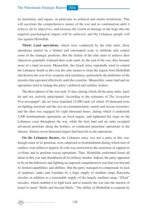its machinery and organs, in particular its political and media institutions. This will ascertain the comprehensive nature of the war and its continuation until it achieve all its objectives, and increase the extent of damage in the hope that the required psychological impact will be achieved, and the Lebanese people will rise against Hizbullah.

**Third: Land operations,** which were conducted by the elite units, these operations started on a limited and interrupted scale to infiltrate and control some of the strategic positions. But the failure of the elite units to achieve their objectives gradually widened their scale until, by the end of the war, they became more of a land invasion. Meanwhile, the Israeli army repeatedly tried to control the Lebanese South as this was the only means to clean the region from Hizbullah and destroy the rest of its weapons and machinery, particularly the platforms of the missiles that operated effectively until the ceasefire. Meanwhile, some land and air operations tried to kidnap the party's political and military leaders.

The three phases of the war took 33 days during which all the army units: land, air and sea, actively participated. According to the estimates of *The Jerusalem*  Post newspaper<sup>6</sup>, the air force launched 15,500 raids (of which 10 thousand were on fighting missions and the rest on communication, search and rescue missions), and the fleet was engaged for eight thousand hours, during which it undertook 2,500 bombardment operations on fixed targets, and tightened the siege on the Lebanese coast throughout the war, while the best land and air units occupied advanced positions along the borders, or conducted parachute operations in the interior. Almost seven thousand targets had been hit in the operations.

**On the Lebanese theatre,** the Lebanese army was not a party in this war, though some of its positions were subjected to bombardment during which tens of soldiers were killed or injured. Its role was restricted to the extension of support to civilians and to perform rescue operations. Thus, Hizbullah confronted Israel all alone in this war and shouldered all its military burden. Indeed, the party appeared to be on the defensive and fighting an imposed comprehensive war that was beyond its limited capabilities and abilities. But the party managed to compensate its lack of airplanes, tanks and warships by a huge supply of medium range Katyusha missiles in addition to a reasonable supply of the largely medium range "Zilzal" missiles, which enabled it to fight back and to transfer the war into the interior of Israel to reach "Haifa and beyond Haifa." The ability of Hizbullah to respond by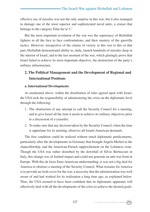effective use of missiles was not the only surprise in this war, but it also managed to damage one of the most superior and sophisticated naval units, a cruiser that belongs to the category Eilat-Sa'ar 5.7

But the most important revelation of the war was the supremacy of Hizbullah fighters in all the face to face confrontations, and their mastery of the guerrilla tactics. However, irrespective of the claims of victory in this war to this or that part, Hizbullah demonstrated ability to, daily, launch hundreds of missiles deep in the interior of Israel, and to the last moment of the war, which glaringly prove that Israel failed to achieve its most important objective, the destruction of the party's military infrastructure.

#### **2. The Political Management and the Development of Regional and International Positions**

#### **a. International Developments**

As mentioned above, within the distribution of roles agreed upon with Israel, the USA took the responsibility of administering the crisis on the diplomatic level through the following:

- 1. The obstruction of any attempt to call the Security Council for a meeting, and to give Israel all the time it needs to achieve its military objectives prior to a discussion of a ceasefire.
- 2. To make sure that any decision taken by the Security Council, when the time is opportune for its meeting, observes all Israeli-American demands.

The first condition could be realized without much diplomatic predicaments, particularly after the developments in Germany that brought Angela Merkel to the chancellorship, and the American-French rapprochement on the Lebanese issue. Though the USA was rather disturbed by the downfall of Silvio Berlusconi in Italy, this change was of limited impact and could not generate an anti-war front in Europe. With this de facto Euro-American understanding, it was not a big deal for America to obstruct a meeting of the Security Council. What remains for America is to provide an Arab cover for the war, a necessity that the administration was well aware of and had worked for its realization a long time ago, as explained below. Thus, the USA seemed to have been confident that its diplomatic apparatus will effectively deal with all the developments of the crisis to achieve the desired goals.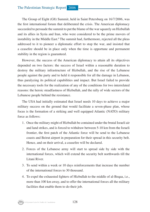The Group of Eight (G8) Summit, held in Saint Petersburg on 16/7/2006, was the first international forum that deliberated the crisis. The American diplomacy succeeded to persuade the summit to put the blame of the war squarely on Hizbullah and its allies in Syria and Iran, who were considered to be the prime movers of instability in the Middle East.<sup>8</sup> The summit had, furthermore, rejected all the pleas addressed to it to pioneer a diplomatic effort to stop the war, and insisted that a ceasefire should be in place only when the time is opportune and permanent stability in the region is guaranteed.

However, the success of the American diplomacy to attain all its objectives depended on two factors: the success of Israel within a reasonable duration to destroy the military infrastructure of Hizbullah, and the rise of the Lebanese people against the party and to held it responsible for all the damage in Lebanon, thus paralyzing its political capabilities and impact. But Israel failed to provide the necessary tools for the realization of any of the conditions for two interrelated reasons: the heroic steadfastness of Hizbullah, and the rally of wide sectors of the Lebanese people behind the resistance.

The USA had initially estimated that Israel needs 10 days to achieve a major military success on the ground that would facilitate a seven-phase plan, whose focus is the formation of a striking and well equipped Atlantic (NATO) military force as follows:

- 1. Once the military might of Hizbullah be contained under the brutal Israeli air and land strikes, and is forced to withdraw between 5-10 km from the Israeli frontier, the first patch of the Atlantic force will be send to the Lebanese coasts and Beirut airport in preparation for their spread in this security belt. Hence, and on their arrival, a ceasefire will be declared.
- 2. Forces of the Lebanese army will start to spread side by side with the international forces, which will extend the security belt northwards till the Litani River.
- 3. To send within a week or 10 days reinforcements that increase the number of the international forces to 30 thousand.
- 4. To expel the exhausted fighters of Hizbullah to the middle of al-Beqaa, i.e., more than 100 km away, and to offer the international forces all the military facilities that enable them to do their job.

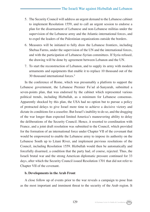- 5. The Security Council will address an urgent demand to the Lebanese cabinet to implement Resolution 1559, and to call an urgent session to endorse a plan for the disarmament of Lebanese and non-Lebanese militias under the supervision of the Lebanese army and the Atlantic-international forces, and to expel the leaders of the Palestinian organizations outside the borders.
- 6. Measures will be initiated to fully draw the Lebanese frontiers, including Shebaa Farms, under the supervision of the UN and the international forces, and with the participation of Lebanese-Syrian committees. If Syria refused, the drawing will be done by agreement between Lebanon and the UN.
- 7. To start the reconstruction of Lebanon, and to supply its army with modern armaments and equipments that enable it to replace 10 thousand out of the 30 thousand international forces.<sup>9</sup>

In the conference of Rome, which was presumably a platform to support the Lebanese government, the Lebanese Premier Fu'ad al-Sanyurah, submitted a seven-points plan, that was endorsed by the cabinet which represented various political trends, including Hizbullah, as a minimum for Lebanese consensus. Apparently shocked by this plan, the USA had no option but to pursue a policy of protracted delays to give Israel more time to achieve a decisive victory and dictate its conditions for a ceasefire. But Israel's inability to do so, and the dragging of the war longer than expected limited America's maneuvering ability to delay the deliberations of the Security Council. Hence, it resorted to coordination with France, and a joint draft resolution was submitted to the Council, which provided for the formation of an international force under Chapter VII of the covenant that would be empowered to enable the Lebanese army to impose its authority on the Lebanese South up to Litani River, and implement previous resolutions of the Council, including Resolution 1559. Hizbullah would then be automatically and forcefully disarmed, a condition that the party had, of course, rejected. Thus, the Israeli brutal war and the strong American diplomatic pressure continued for 33 days, after which the Security Council issued Resolution 1701 that did not refer to Chapter VII of the covenant.

#### **b. Developments in the Arab Front**

A close follow up of events prior to the war reveals a campaign to pose Iran as the most important and imminent threat to the security of the Arab region. It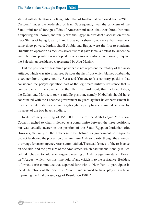started with declarations by King 'Abdullah of Jordan that cautioned from a "Shi'i Crescent" under the leadership of Iran. Subsequently, was the criticism of the Saudi minister of foreign affairs of American mistakes that transferred Iran into a super regional power, and finally was the Egyptian president's accusation of the Iraqi Shiites of being loyal to Iran. It was not a sheer coincidence that these very same three powers, Jordan, Saudi Arabia and Egypt, were the first to condemn Hizbullah's operation as reckless adventure that gave Israel a pretext to launch the war. The same position was adopted by other Arab countries like Kuwait, Iraq and the Palestinian presidency (represented by Abu Mazin).

But the position of these three powers did not represent the totality of the Arab attitude, which was trio in nature. Besides the first front which blamed Hizbullah, a counter-front, represented by Syria and Yemen, took a contrary position that considered the party's operation part of the legitimate military resistance that is compatible with the covenant of the UN. The third front, that included Libya, the Sudan and Morocco, took a middle position, namely Hizbullah should have coordinated with the Lebanese government to guard against its embarrassment in front of the international community, though the party have committed no crime by its arrest of the two Israeli soldiers.

In its ordinary meeting of 15/7/2006 in Cairo, the Arab League Ministerial Council reached to what it viewed as a compromise between the three positions, but was actually nearer to the position of the Saudi-Egyptian-Jordanian trio. However, the rally of the Lebanese street behind its government seven-points project facilitated the projection of a minimum Arab solidarity, though the attempts to arrange for an emergency Arab summit failed. The steadfastness of the resistance on one side, and the pressure of the Arab street, which had unconditionally rallied behind it, helped to hold an emergency meeting of Arab foreign ministers in Beirut on 7 August, which was this time void of any criticism to the resistance. Besides, it formed a trio-committee that departed forthwith to New York to participate in the deliberations of the Security Council, and seemed to have played a role in improving the final phraseology of Resolution 1701.10

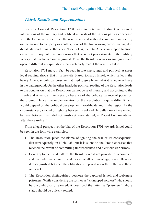#### *Third: Results and Repercussions*

Security Council Resolution 1701 was an outcome of direct or indirect interactions of the military and political interests of the various parties concerned with the Lebanese crisis. Since the war did not end with a decisive military victory on the ground to one party or another, none of the two warring parties managed to dictate its conditions on the other. Nonetheless, the total American support to Israel earned her many political concessions that were not proportionate to the military victory that it achieved on the ground. Thus, the Resolution was so ambiguous and open to different interpretations that each party read it the way it wanted.

Resolution 1701 may, in fact, be read in two ways, legal and political. A sheer legal reading shows that it is heavily biased towards Israel, which reflects the heavy American political pressure that tried to give Israel what it failed to achieve in the battleground. On the other hand, the political reading of the Resolution leads to the conclusion that the Resolution cannot be read literally and according to the Israeli and American interpretation because of the delicate balance of power on the ground. Hence, the implementation of the Resolution is quite difficult, and would depend on the political developments worldwide and in the region. In the circumstances, a round of fighting between Israel and Hizbullah may have ended, but war between them did not finish yet, even started, as Robert Fisk maintains, after the ceasefire.<sup>11</sup>

From a legal perspective, the bias of the Resolution 1701 towards Israel could be seen in the following examples:

- 1. The Resolution place the blame of igniting the war or its consequential disasters squarely on Hizbullah, but it is silent on the Israeli excesses that reached the extent of committing unprecedented and clear-cut war crimes.
- 2. Contrary to the usual pattern, the Resolution did not provide for a complete and unconditional ceasefire and the end of all actions of aggression. Besides, it distinguished between the obligations imposed upon Hizbullah and those on Israel.
- 3. The Resolution distinguished between the captured Israeli and Lebanese prisoners. While considering the former as "kidnapped soldiers" who should be unconditionally released, it described the latter as "prisoners" whose status should be quickly settled.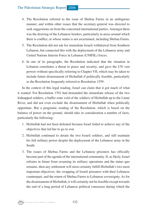- 4. The Resolution referred to the issue of Shebaa Farms in an ambiguous manner, and within other issues that the secretary-general was directed to seek suggestions on from the concerned international parties. Amongst them was the drawing of the Lebanese borders, particularly in areas around which there is conflict, or whose status is not ascertained, including Shebaa Farms.
- 5. The Resolution did not ask for immediate Israeli withdrawal from Southern Lebanon, but connected this with the deployment of the Lebanese army and United Nations Interim Force in Lebanon (UNIFIL) forces.
- 6. In one of its paragraphs, the Resolution indicated that the situation in Lebanon constitutes a threat to peace and security, and gave the UN vast powers without specifically referring to Chapter VII, which may be taken to include future disarmament of Hizbullah if politically feasible, particularly as the Resolution frequently referred to Resolution 1559.

In the context of this legal reading, Israel can claim that it got much of what it wanted. For Resolution 1701 had demanded the immediate release of the two kidnapped soldiers, a buffer zone void of the soldiers of Hizbullah up to the Litani River, and did not even exclude the disarmament of Hizbullah when politically opportune. But a pragmatic reading of the Resolution, which is based on the balance of power on the ground, should take in consideration a number of facts, particularly the following:

- 1. Hizbullah had not been defeated because Israel failed to achieve any of the objectives that led her to go to war.
- 2. Hizbullah continued to detain the two Israeli soldiers, and still maintain his full military power despite the deployment of the Lebanese army in the South.
- 3. The issues of Shebaa Farms and the Lebanese prisoners has officially become part of the agenda of the international community. If, as likely, Israel refrains in future from resuming its military operations and the status quo remains, then any settlement will most certainty fulfill Hizbullah's two most important objectives: the swapping of Israeli prisoners with their Lebanese counterpart, and the return of Shebaa Farms to Lebanese sovereignty. As for the disarmament of Hizbullah, it will certainly not be feasible except towards the end of a long period of Lebanese political consensus during which the

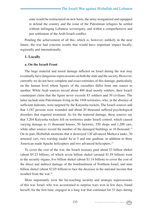state would be restructured on new basis, the army reorganized and equipped to defend the country and the issue of the Palestinian refugees be settled without infringing Lebanese sovereignty, and within a comprehensive and just settlement of the Arab-Israeli conflict.

Pending the achievement of all this, which is, however, unlikely in the near future, the war had concrete results that would have important impact locally, regionally and internationally.

#### **1. Locally**

#### **a. On the Israeli Front**

The huge material and moral damage inflicted on Israel during the war may eventually have dangerous repercussions on both the state and the society. However, currently we do not have complete and exact estimates of this damage, particularly on the human level where figures of the casualties differ from one source to another. While Arab sources record about 400 dead mostly soldiers, their Israeli counterpart claim that the figure never exceeds 83 soldiers and 39 civilians. The latter include nine Palestinians living in the 1948 territories, who, in the absence of sufficient hideouts, were targeted by the Katyusha rockets. The Israeli sources add that 1,187 persons were wounded and about 20 thousand suffered psychological disorders that required treatment. As for the material damage, these sources say that 3,204 Katyusha rockets fell on territories under Israeli control, which caused varying damage to 11 thousand houses, 50 factories, 550 shops and 1,200 cars, while other sources record the number of the damaged buildings as 16 thousand.<sup>12</sup> On its part, Hizbullah mentions that it destroyed 120 advanced Merkava tanks, 30 armored cars, two warship model Sa'ar 5 and one gunboat, in addition to three American made Apache helicopters and two advanced helicopters.<sup>13</sup>

To cover the cost of the war, the Israeli treasury paid about 23 billion shekel (about \$5.23 billion), of which seven billion shekel (around \$1.59 billion) went to the security organs, five billion shekel (about \$1.14 billion) to cover the cost of the direct and indirect damage of the bombardment of Northern Israel, and nine billion shekel (about \$2.05 billion) to face the decrease in the national income that resulted from the war.14

More importantly were the far-reaching security and strategic repercussions of this war. Israel, who was accustomed to surprise wars won in few days, found herself, for the first time, engaged in a long war that continued for 33 days during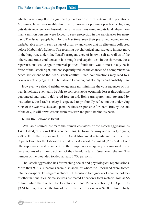which it was compelled to significantly moderate the level of its initial expectations. Moreover, Israel was unable this time to pursue its previous practice of fighting outside its own territory. Instead, the battle was transferred into its land where more than a million persons were forced to seek protection in the sanctuaries for many days. The Israeli people had, for the first time, seen their presumed legendary and undefeatable army in such a state of disarray and chaos that its elite units collapsed before Hizbullah's fighters. The resulting psychological and strategic impact may, in the long run, undermine Israel's arrogant view of its own self as well as of the others, and erode confidence in its strength and capabilities. In the short run, these repercussions would ignite internal political feuds that would most likely be in favor of the Israeli right, and consequently reduce the chances of a comprehensive peace settlement of the Arab-Israeli conflict. Such complications may lead to a new war not only against Hizbullah and Lebanon, but also Syria and probably Iran.

However, we should neither exaggerate nor minimize the consequences of this war. Israel may eventually be able to compensate its economic losses through some guaranteed and readily delivered foreign aid. Being transparent and governed by institutions, the Israeli society is expected to profoundly reflect on the underlying roots of the war mistakes, and penalize those responsible for them. But, by the end of the day, it will draw lessons from this war and put it behind its back.

#### **b. On the Lebanese Front**

 Available sources estimate the human casualties of the Israeli aggression as 1,400 killed, of whom 1,084 were civilians, 40 from the army and security organs, 250 of Hizbullah's personnel, 17 of Amal Movement activists and one from the Popular Front for the Liberation of Palestine-General Command (PFLP-GC). Four UN supervisors and a subject of the temporary emergency international force were victims of air bombardment of their headquarters in Southern Lebanon. The number of the wounded totaled at least 3,700 persons.

The Israeli aggression has far reaching social and physiological repercussions. More than 973,334 persons were displaced, of whom 220 thousand were forced into the diaspora. This figure includes 100 thousand foreigners or Lebanese holders of other nationalities. Some sources estimated Lebanon's total material loss as \$6 billion, while the Council for Development and Reconstruction (CDR) put it as \$3.61 billion, of which the loss of the infrastructure alone was \$958 million. Thirty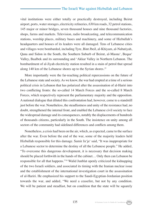vital institutions were either totally or practically destroyed, including Beirut airport, ports, water storages, electricity refineries, 630 km roads, 32 petrol stations, 145 major or minor bridges, seven thousand houses and nine thousand factories, shops, farms and markets. Television, radio broadcasting, and telecommunication stations, worship places, military bases and machinery, and some of Hizbullah's headquarters and houses of its leaders were all damaged. Tens of Lebanese cities and villages were bombarded, including Tyre, Bint Jbeil, al-Khiyam, al-Nabatiyah, Qana and Sidon in the South, the Southern Suburb of Beirut, al-Masna', Beqaa' Valley, Baalbek and its surrounding and 'Akkar Valley in Northern Lebanon. The bombardment of al-Jiyah electricity station resulted in a stain of petrol that spread along 140 km of the Lebanese shores up to the Syrian shores.<sup>15</sup>

More importantly were the far-reaching political repercussions on the future of the Lebanese state and society. As we know, the war had erupted at a time of a serious political crisis in Lebanon that has polarized after the assassination of al-Hariri into two conflicting fronts: the so-called 14 March Forces and the so-called 8 March Forces, which respectively represent the parliamentary majority and the opposition. A national dialogue that diluted this confrontation had, however, come to a standstill just before the war. Nonetheless, the steadfastness and unity of the resistance had, no doubt, strengthened the internal front, and enabled the Lebanese civil society to face the widespread damage and its consequences, notably the displacements of hundreds of thousands citizens, particularly in the South. The insistence on unity among all sectors of the community had sidelined differences and conflicts among them.

Nonetheless, a crisis had been on the air, which, as expected, came to the surface after the war. Even before the end of the war, some of the majority leaders held Hizbullah responsible for this damage. Samir Ja'ja' said, "It was inappropriate for a Lebanese sector to determine the destiny of all the Lebanese people." He added, "To overcome this dangerous development, it is necessary that decision making should be placed forthwith in the hands of the cabinet… Only then can Lebanon be responsible for all that happens."16 Walid Junblat openly criticized the kidnapping of the two Israeli soldiers, and associated its timing with the Iranian nuclear issue and the establishment of the international investigation court in the assassination of al-Hariri. He emphasized his support to the Saudi-Egyptian-Jordanian position towards the war, and added, "We need a ceasefire, but not by any condition. We will be patient and steadfast, but on condition that the state will be squarely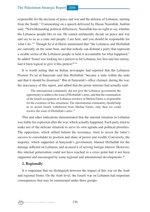responsible for the decision of peace and war and the defense of Lebanon, starting from the South." Commenting on a speech delivered by Hasan Nasrullah, Junblat said, "Notwithstanding political differences, Nasrullah has no right to say whether the Lebanese people like or not. He cannot unilaterally decide on peace and war and say to us as a state and people: I am here, and you should be responsible for what I do."<sup>17</sup> Though Sa'd al-Hariri maintained that "the Lebanese and Hizbullah are currently on the same boat, and that nobody can disband a party that represent a sizable sector of the Lebanese people or held it accountable for what happened," he added "Israel was looking for a pretext to hit Lebanon, her first and last enemy, had it been logical to give it this pretext?"<sup>18</sup>

It is worth noting that an Italian newspaper had reported that the Lebanese Premier Fu'ad al-Sanyurah said that Hizbullah "became a state within the state and that it should be disarmed." But al-Sanyurah's office claimed, during the war, the inaccuracy of this report, and added that the prime minister had actually said:

The international community did not give the Lebanese government the opportunity to address the issue of Hizbullah's arms, and that the continuation of the Israeli occupation of Lebanese territory in Shebaa Farms is responsible for the existence of this armament. The international community should help us to secure Israeli withdrawal from Shebaa Farms, only then we could resolve the issue of Hizbullah's arms.19

This and other indications demonstrated that the internal situation in Lebanon was liable for explosion after the war, which actually happened. Each party tried to make use of the delicate situation to serve its own agenda and political priorities. The opposition, which rallied behind the resistance, tried to invest the latter's success to consolidate its position and share of power and wealth. Conversely, the majority, which supported al-Sanyurah's government, blamed Hizbullah for the damage inflicted on Lebanon, and accused it of serving foreign interest. However, this internal polarization could not have reached to a crisis point had it not been supported and encouraged by some regional and international developments.<sup>20</sup>

#### **2. Regionally**

It is important that we distinguish between the impact of this war on the Arab and regional fronts. On the Arab level, the Israeli war on Lebanon had important consequences that may be enumerated under three groups:

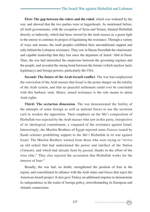**First: The gap between the rulers and the ruled**, which was widened by the war, and showed that the two parties were at loggerheads. As mentioned before, all Arab governments, with the exception of Syria and Yemen, blamed Hizbullah directly or indirectly, which had been viewed by the Arab masses as a green light to the enemy to continue its project of liquidating the resistance. Through a variety of ways and means, the Arab peoples exhibited their unconditional support and rally behind the Lebanese resistance. They saw in Hasan Nasrullah the charismatic and capable leadership that they lost since the departure of Jamal 'Abd al-Nasir. Thus, the war had intensified the suspicious between the governing regimes and the people, and revealed the strong bond between the former (which anyhow lacks legitimacy) and foreign powers, particularly the USA.

**Second: The future of the Arab-Israeli conflict**. The war had emphasized the conviction of the Arab masses that Israel is the prime danger on the totality of the Arab system, and that no peaceful settlement could ever be concluded with this barbaric state. Hence, armed resistance is the sole means to attain Arab rights.

**Third: The sectarian dimension**. The war demonstrated the futility of the attempts of some foreign as well as internal forces to use the sectarian card to weaken the opposition. Their emphasis on the Shi'i composition of Hizbullah was rejected by the Arab masses who saw in this party, irrespective of its ideological commitment, a vanguard of the resistance against Israel. Interestingly, the Muslim Brothers of Egypt rejected some *Fatawa* issued by Saudi scholars prohibiting support to the Shi'i Hizbullah in its war against Israel. The Muslim Brothers warned from those who were trying to "revive an old ordeal that had undermined the power and intellect of the Nation (*Ummah*), and which had already been by passed, thanks to the effort of the wise elite." They also rejected the accusation that Hizbullah works for the interest of Iran.21

Broadly, the war had, no doubt, strengthened the position of Iran in the region, and consolidated its alliance with the Arab states and forces that reject the American-Israeli project. It also gave Turkey an additional impetus to demonstrate its independence in the realm of foreign policy, notwithstanding its European and Atlantic connections.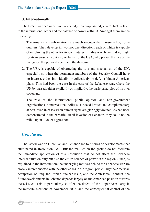#### **3. Internationally**

The Israeli war had once more revealed, even emphasized, several facts related to the international order and the balance of power within it. Amongst them are the following:

- 1. The American-Israeli relations are much stronger than presumed by some quarters. They develop in two, not one, directions each of which is capable of employing the other for its own interest. In this war, Israel did not fight for its interest only but also on behalf of the USA, who played the role of the instigator, the political agent and the diplomat.
- 2. The USA is capable of obstructing the role and mechanism of the UN, especially so when the permanent members of the Security Council have no interest, either individually or collectively, to defy or hinder American plans. This had been the case in the case of the Lebanese war, where the UN by passed, either explicitly or implicitly, the basic principles of its own covenant.
- 3. The role of the international public opinion and non-government organizations in international politics is indeed limited and complementary at best, even in cases when human rights are glaringly violated. As had been demonstrated in the barbaric Israeli invasion of Lebanon, they could not be relied upon to deter aggression.

#### *Conclusion*

The Israeli war on Hizbullah and Lebanon led to a series of developments that culminated in Resolution 1701. But the realities on the ground do not facilitate the immediate application of this Resolution that do not affect the Lebanese internal situation only but also the entire balance of power in the region. Since, as explained in the introduction, the underlying motives behind the Lebanese war are closely interconnected with the other crises in the region, particularly the American occupation of Iraq, the Iranian nuclear issue, and the Arab-Israeli conflict, the future developments in Lebanon depends largely on the American position towards these issues. This is particularly so after the defeat of the Republican Party in the midterm elections of November 2006, and the consequential control of the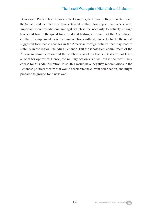Democratic Party of both houses of the Congress, the House of Representatives and the Senate, and the release of James Baker-Lee Hamilton Report that made several important recommendations amongst which is the necessity to actively engage Syria and Iran in the quest for a final and lasting settlement of the Arab-Israeli conflict. To implement these recommendations willingly and effectively, the report suggested formidable changes in the American foreign policies that may lead to stability in the region, including Lebanon. But the ideological commitment of the American administration and the stubbornness of its leader (Bush) do not leave a room for optimism. Hence, the military option vis a vis Iran is the most likely course for this administration. If so, this would have negative repercussions in the Lebanese political theatre that would accelerate the current polarization, and might prepare the ground for a new war.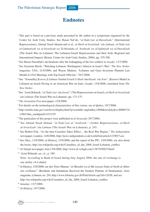#### **Endnotes**

- 1 This part is based on a previous study presented by the author in a symposium organized by the Centre for Arab Unity Studies. See Hasan Naf*'*ah, "*al-Tada'iyat al-Duwaliyah*," (International Repercussions), Ahmad Yusuf Ahmad and et al., *al-Harb al-Israeliyah 'ala Lubnan: al-Tada'iyat al-Lubnaniyah wa al-Israeliyah wa Ta'thiratuha al-'Arabiyah wa al-Iqlimiyah wa al-Duwaliyah* (The Israeli War on Lebanon: The Lebanese-Israeli Repercussions and their Arab, Regional and International Impact) (Beirut: Centre for Arab Unity Studies, 2006), pp. 379-398.
- 2 See Hasan Nasrullah's declarations after the kidnapping of the two soldiers in *Assafir*, 13/7/2006.
- 3 See Seymour Hersh, "Watching Lebanon: Washington's Interest in Israel's War," *The New Yorker* magazine, USA, 21/8/2006; and Wayne Madsen, "Lebanon and Gaza Invasions Planned Last Month in USA Meetings with Top Israeli Officials," 26/7/2006.
- 4 See "*Namudhaj Kosovo fi Lubnan Tamhid Israeli li Harb Amrikiyah 'ala Iran*", (Kosovo Model in Lebanon an Israeli Paving to an American War on Iran), *Assafir*, 15/8/2006, translated from *The New Yorker*.
- 5 See 'Azmi Bsharah, "*al-Tada'iyat 'ala Israel*," (The Repercussions on Israel), *al-Harb al-Israeliyah 'ala Lubnan* (The Israeli War on Lebanon), pp. 173-175.
- <sup>6</sup> *The Jerusalem Post* newspaper, 15/8/2006.
- 7 For details on the technological characteristics of this cruiser, see *al-Qabas*, 19/7/2006.
- 8 http://usinfo.state.gov/xarchives/display.html?p=washfile english&y=2006&m=July&x=20060716 130615dm\_sonahpets0.4333155
- 9 The particulars of this project were published in *al-Seyassah*, 29/7/2006.
- 10 See Ahmad Yusuf Ahmad, "*al-Tada'iyat al-'Arabiyah,"* (Arabic Repercussions), *al-Harb al-Israeliyah 'ala Lubnan* (The Israeli War on Lebanon), p. 245.
- <sup>11</sup> See Robert Fisk, "As the 6am Ceasefire Takes Effect… the Real War Begins," *The Independent*  newspaper, London, 14/8/2006, http://news.independent.co.uk/world/fisk/article1219037.ece
- 12 See *Okaz*, 13/8/2006; *al-Khaleej*, 15/8/2006; and the report of the PIC, 14/8/2006; see also about the losses, http://en.wikipedia.org/wiki/Casualties\_of\_the\_2006\_Israel-Lebanon\_conflict
- <sup>13</sup> *Al-Vefagh* newspaper, Iran,15/8/2006, http://www.al-vefagh.com/1387/870827/html/
- 14 'Azmi Bsharah, *op. cit.*, p. 180.

Note: According to Bank of Israel during July-August 2006, the rate of exchange is: one dollar =4.4 shekel.

- <sup>15</sup> *Al-Khaleej*, 15/8/2006; see also Terez Mansur, "*al-Masakin wa al-Mu'assasat Nalat al-Nasib al-Akbar min al-Damar,*" (Residents and Institutions Received the Greatest Portions of Destruction), *Army* magazine, Lebanon, no. 254, http://www.lebarmy.gov.lb/PrintArticle.asp?id=12428; and see http://en.wikipedia.org/wiki/Casualties of the 2006 Israel-Lebanon conflict
- <sup>16</sup> *Annahar*, 13/7/2006.

<sup>17</sup> *Al-Khaleej*, 19/7/2006.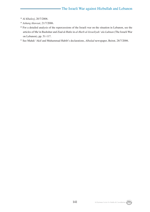- <sup>18</sup> *Al-Khaleej*, 20/7/2006.
- <sup>19</sup> *Asharq Alawsat*, 21/7/2006.
- <sup>20</sup> For a detailed analysis of the repercussions of the Israeli war on the situation in Lebanon, see the articles of Ma'in Bashshur and Ziad al-Hafiz in *al-Harb al-Israeliyah 'ala Lubnan* (The Israeli War on Lebanon), pp. 51-117.
- 21 See Mahdi 'Akif and Muhammad Habib's declarations, *Albalad* newspaper, Beirut, 28/7/2006.